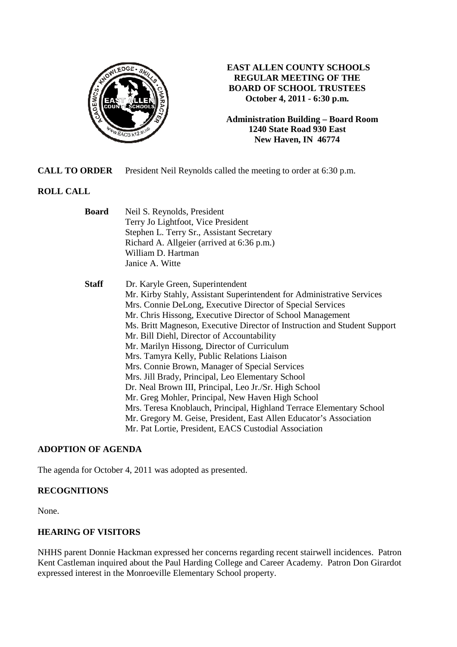

## **EAST ALLEN COUNTY SCHOOLS REGULAR MEETING OF THE BOARD OF SCHOOL TRUSTEES October 4, 2011 - 6:30 p.m.**

**Administration Building – Board Room 1240 State Road 930 East New Haven, IN 46774**

**CALL TO ORDER** President Neil Reynolds called the meeting to order at 6:30 p.m.

# **ROLL CALL**

| <b>Board</b> | Neil S. Reynolds, President                                               |
|--------------|---------------------------------------------------------------------------|
|              | Terry Jo Lightfoot, Vice President                                        |
|              | Stephen L. Terry Sr., Assistant Secretary                                 |
|              | Richard A. Allgeier (arrived at 6:36 p.m.)                                |
|              | William D. Hartman                                                        |
|              | Janice A. Witte                                                           |
| <b>Staff</b> | Dr. Karyle Green, Superintendent                                          |
|              | Mr. Kirby Stahly, Assistant Superintendent for Administrative Services    |
|              | Mrs. Connie DeLong, Executive Director of Special Services                |
|              | Mr. Chris Hissong, Executive Director of School Management                |
|              | Ms. Britt Magneson, Executive Director of Instruction and Student Support |
|              | Mr. Bill Diehl, Director of Accountability                                |
|              | Mr. Marilyn Hissong, Director of Curriculum                               |
|              | Mrs. Tamyra Kelly, Public Relations Liaison                               |
|              | Mrs. Connie Brown, Manager of Special Services                            |
|              | Mrs. Jill Brady, Principal, Leo Elementary School                         |
|              | Dr. Neal Brown III, Principal, Leo Jr./Sr. High School                    |
|              | Mr. Greg Mohler, Principal, New Haven High School                         |
|              | Mrs. Teresa Knoblauch, Principal, Highland Terrace Elementary School      |
|              | Mr. Gregory M. Geise, President, East Allen Educator's Association        |
|              | Mr. Pat Lortie, President, EACS Custodial Association                     |
|              |                                                                           |

#### **ADOPTION OF AGENDA**

The agenda for October 4, 2011 was adopted as presented.

#### **RECOGNITIONS**

None.

## **HEARING OF VISITORS**

NHHS parent Donnie Hackman expressed her concerns regarding recent stairwell incidences. Patron Kent Castleman inquired about the Paul Harding College and Career Academy. Patron Don Girardot expressed interest in the Monroeville Elementary School property.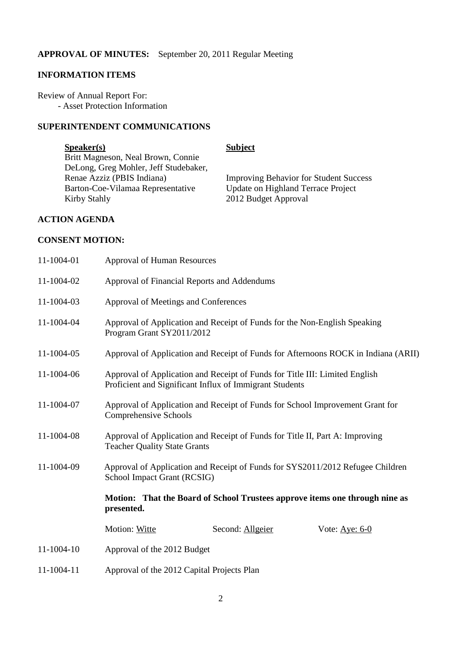#### **APPROVAL OF MINUTES:** September 20, 2011 Regular Meeting

## **INFORMATION ITEMS**

Review of Annual Report For: - Asset Protection Information

## **SUPERINTENDENT COMMUNICATIONS**

## **Speaker(s)** Subject

Britt Magneson, Neal Brown, Connie DeLong, Greg Mohler, Jeff Studebaker, Barton-Coe-Vilamaa Representative Update on Highland Terrace Project Kirby Stahly 2012 Budget Approval

Renae Azziz (PBIS Indiana) Improving Behavior for Student Success

## **ACTION AGENDA**

## **CONSENT MOTION:**

| 11-1004-01 | <b>Approval of Human Resources</b>                                                                                                                                                                         |  |  |
|------------|------------------------------------------------------------------------------------------------------------------------------------------------------------------------------------------------------------|--|--|
| 11-1004-02 | Approval of Financial Reports and Addendums                                                                                                                                                                |  |  |
| 11-1004-03 | Approval of Meetings and Conferences                                                                                                                                                                       |  |  |
| 11-1004-04 | Approval of Application and Receipt of Funds for the Non-English Speaking<br>Program Grant SY2011/2012                                                                                                     |  |  |
| 11-1004-05 | Approval of Application and Receipt of Funds for Afternoons ROCK in Indiana (ARII)                                                                                                                         |  |  |
| 11-1004-06 | Approval of Application and Receipt of Funds for Title III: Limited English<br>Proficient and Significant Influx of Immigrant Students                                                                     |  |  |
| 11-1004-07 | Approval of Application and Receipt of Funds for School Improvement Grant for<br>Comprehensive Schools                                                                                                     |  |  |
| 11-1004-08 | Approval of Application and Receipt of Funds for Title II, Part A: Improving<br><b>Teacher Quality State Grants</b>                                                                                        |  |  |
| 11-1004-09 | Approval of Application and Receipt of Funds for SYS2011/2012 Refugee Children<br>School Impact Grant (RCSIG)<br>Motion: That the Board of School Trustees approve items one through nine as<br>presented. |  |  |
|            |                                                                                                                                                                                                            |  |  |
|            | Motion: Witte<br>Second: Allgeier<br>Vote: $Aye: 6-0$                                                                                                                                                      |  |  |
| 11-1004-10 | Approval of the 2012 Budget                                                                                                                                                                                |  |  |
| 11-1004-11 | Approval of the 2012 Capital Projects Plan                                                                                                                                                                 |  |  |